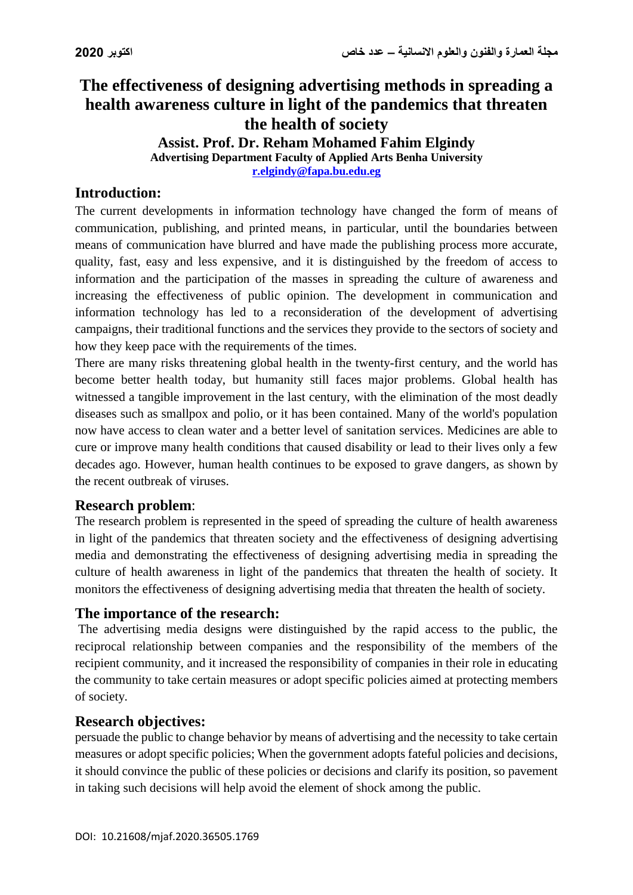# **The effectiveness of designing advertising methods in spreading a health awareness culture in light of the pandemics that threaten the health of society Assist. Prof. Dr. Reham Mohamed Fahim Elgindy Advertising Department Faculty of Applied Arts Benha University**

**[r.elgindy@fapa.bu.edu.eg](mailto:r.elgindy@fapa.bu.edu.eg)**

# **Introduction:**

The current developments in information technology have changed the form of means of communication, publishing, and printed means, in particular, until the boundaries between means of communication have blurred and have made the publishing process more accurate, quality, fast, easy and less expensive, and it is distinguished by the freedom of access to information and the participation of the masses in spreading the culture of awareness and increasing the effectiveness of public opinion. The development in communication and information technology has led to a reconsideration of the development of advertising campaigns, their traditional functions and the services they provide to the sectors of society and how they keep pace with the requirements of the times.

There are many risks threatening global health in the twenty-first century, and the world has become better health today, but humanity still faces major problems. Global health has witnessed a tangible improvement in the last century, with the elimination of the most deadly diseases such as smallpox and polio, or it has been contained. Many of the world's population now have access to clean water and a better level of sanitation services. Medicines are able to cure or improve many health conditions that caused disability or lead to their lives only a few decades ago. However, human health continues to be exposed to grave dangers, as shown by the recent outbreak of viruses.

#### **Research problem**:

The research problem is represented in the speed of spreading the culture of health awareness in light of the pandemics that threaten society and the effectiveness of designing advertising media and demonstrating the effectiveness of designing advertising media in spreading the culture of health awareness in light of the pandemics that threaten the health of society. It monitors the effectiveness of designing advertising media that threaten the health of society.

#### **The importance of the research:**

The advertising media designs were distinguished by the rapid access to the public, the reciprocal relationship between companies and the responsibility of the members of the recipient community, and it increased the responsibility of companies in their role in educating the community to take certain measures or adopt specific policies aimed at protecting members of society.

# **Research objectives:**

persuade the public to change behavior by means of advertising and the necessity to take certain measures or adopt specific policies; When the government adopts fateful policies and decisions, it should convince the public of these policies or decisions and clarify its position, so pavement in taking such decisions will help avoid the element of shock among the public.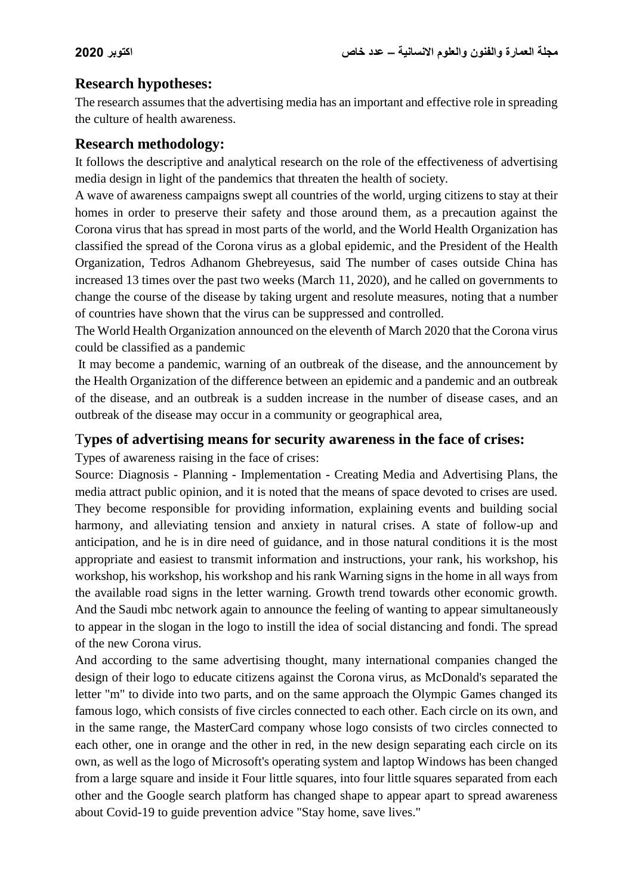### **Research hypotheses:**

The research assumes that the advertising media has an important and effective role in spreading the culture of health awareness.

### **Research methodology:**

It follows the descriptive and analytical research on the role of the effectiveness of advertising media design in light of the pandemics that threaten the health of society.

A wave of awareness campaigns swept all countries of the world, urging citizens to stay at their homes in order to preserve their safety and those around them, as a precaution against the Corona virus that has spread in most parts of the world, and the World Health Organization has classified the spread of the Corona virus as a global epidemic, and the President of the Health Organization, Tedros Adhanom Ghebreyesus, said The number of cases outside China has increased 13 times over the past two weeks (March 11, 2020), and he called on governments to change the course of the disease by taking urgent and resolute measures, noting that a number of countries have shown that the virus can be suppressed and controlled.

The World Health Organization announced on the eleventh of March 2020 that the Corona virus could be classified as a pandemic

It may become a pandemic, warning of an outbreak of the disease, and the announcement by the Health Organization of the difference between an epidemic and a pandemic and an outbreak of the disease, and an outbreak is a sudden increase in the number of disease cases, and an outbreak of the disease may occur in a community or geographical area,

#### T**ypes of advertising means for security awareness in the face of crises:**

Types of awareness raising in the face of crises:

Source: Diagnosis - Planning - Implementation - Creating Media and Advertising Plans, the media attract public opinion, and it is noted that the means of space devoted to crises are used. They become responsible for providing information, explaining events and building social harmony, and alleviating tension and anxiety in natural crises. A state of follow-up and anticipation, and he is in dire need of guidance, and in those natural conditions it is the most appropriate and easiest to transmit information and instructions, your rank, his workshop, his workshop, his workshop, his workshop and his rank Warning signs in the home in all ways from the available road signs in the letter warning. Growth trend towards other economic growth. And the Saudi mbc network again to announce the feeling of wanting to appear simultaneously to appear in the slogan in the logo to instill the idea of social distancing and fondi. The spread of the new Corona virus.

And according to the same advertising thought, many international companies changed the design of their logo to educate citizens against the Corona virus, as McDonald's separated the letter "m" to divide into two parts, and on the same approach the Olympic Games changed its famous logo, which consists of five circles connected to each other. Each circle on its own, and in the same range, the MasterCard company whose logo consists of two circles connected to each other, one in orange and the other in red, in the new design separating each circle on its own, as well as the logo of Microsoft's operating system and laptop Windows has been changed from a large square and inside it Four little squares, into four little squares separated from each other and the Google search platform has changed shape to appear apart to spread awareness about Covid-19 to guide prevention advice "Stay home, save lives."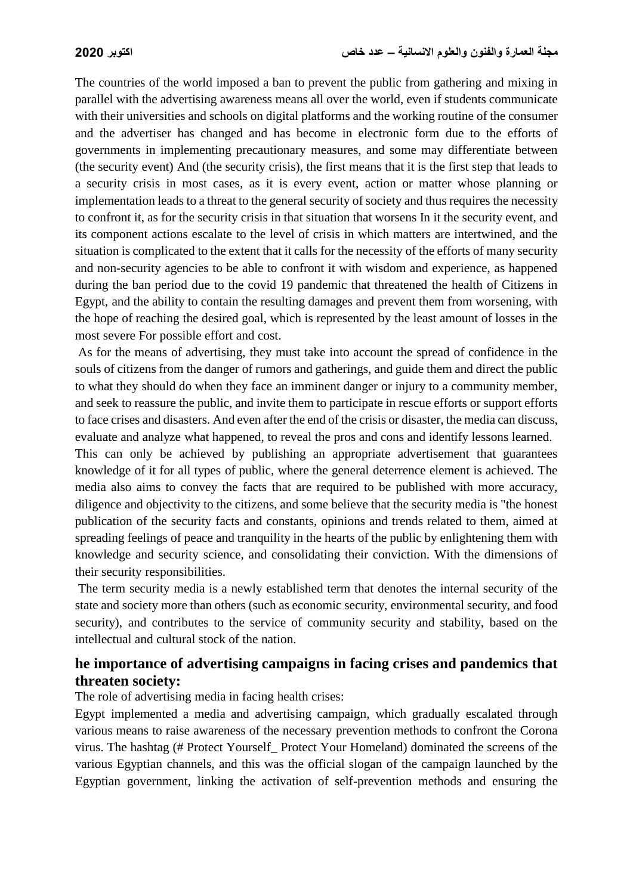The countries of the world imposed a ban to prevent the public from gathering and mixing in parallel with the advertising awareness means all over the world, even if students communicate with their universities and schools on digital platforms and the working routine of the consumer and the advertiser has changed and has become in electronic form due to the efforts of governments in implementing precautionary measures, and some may differentiate between (the security event) And (the security crisis), the first means that it is the first step that leads to a security crisis in most cases, as it is every event, action or matter whose planning or implementation leads to a threat to the general security of society and thus requires the necessity to confront it, as for the security crisis in that situation that worsens In it the security event, and its component actions escalate to the level of crisis in which matters are intertwined, and the situation is complicated to the extent that it calls for the necessity of the efforts of many security and non-security agencies to be able to confront it with wisdom and experience, as happened during the ban period due to the covid 19 pandemic that threatened the health of Citizens in Egypt, and the ability to contain the resulting damages and prevent them from worsening, with the hope of reaching the desired goal, which is represented by the least amount of losses in the most severe For possible effort and cost.

As for the means of advertising, they must take into account the spread of confidence in the souls of citizens from the danger of rumors and gatherings, and guide them and direct the public to what they should do when they face an imminent danger or injury to a community member, and seek to reassure the public, and invite them to participate in rescue efforts or support efforts to face crises and disasters. And even after the end of the crisis or disaster, the media can discuss, evaluate and analyze what happened, to reveal the pros and cons and identify lessons learned.

This can only be achieved by publishing an appropriate advertisement that guarantees knowledge of it for all types of public, where the general deterrence element is achieved. The media also aims to convey the facts that are required to be published with more accuracy, diligence and objectivity to the citizens, and some believe that the security media is "the honest publication of the security facts and constants, opinions and trends related to them, aimed at spreading feelings of peace and tranquility in the hearts of the public by enlightening them with knowledge and security science, and consolidating their conviction. With the dimensions of their security responsibilities.

The term security media is a newly established term that denotes the internal security of the state and society more than others (such as economic security, environmental security, and food security), and contributes to the service of community security and stability, based on the intellectual and cultural stock of the nation.

# **he importance of advertising campaigns in facing crises and pandemics that threaten society:**

The role of advertising media in facing health crises:

Egypt implemented a media and advertising campaign, which gradually escalated through various means to raise awareness of the necessary prevention methods to confront the Corona virus. The hashtag (# Protect Yourself\_ Protect Your Homeland) dominated the screens of the various Egyptian channels, and this was the official slogan of the campaign launched by the Egyptian government, linking the activation of self-prevention methods and ensuring the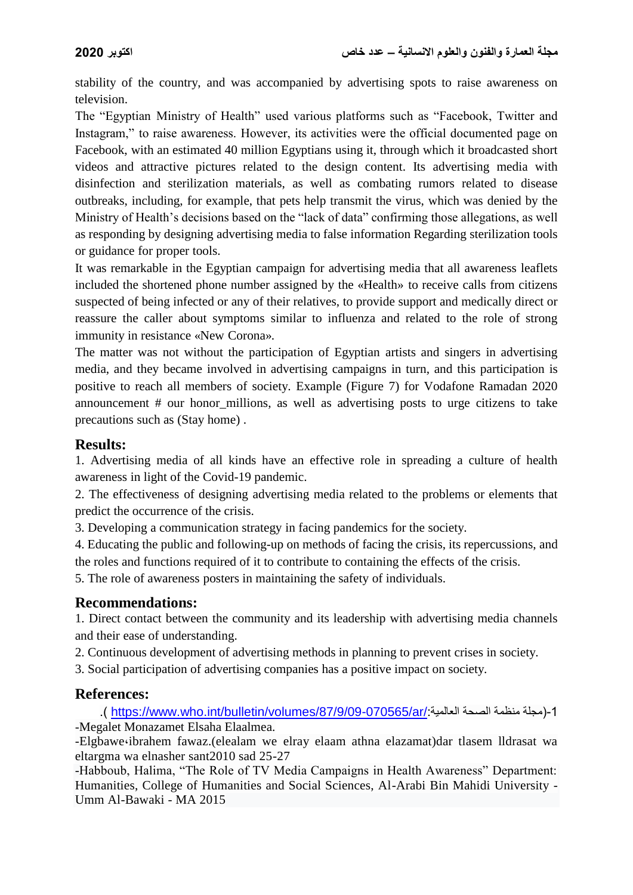stability of the country, and was accompanied by advertising spots to raise awareness on television.

The "Egyptian Ministry of Health" used various platforms such as "Facebook, Twitter and Instagram," to raise awareness. However, its activities were the official documented page on Facebook, with an estimated 40 million Egyptians using it, through which it broadcasted short videos and attractive pictures related to the design content. Its advertising media with disinfection and sterilization materials, as well as combating rumors related to disease outbreaks, including, for example, that pets help transmit the virus, which was denied by the Ministry of Health's decisions based on the "lack of data" confirming those allegations, as well as responding by designing advertising media to false information Regarding sterilization tools or guidance for proper tools.

It was remarkable in the Egyptian campaign for advertising media that all awareness leaflets included the shortened phone number assigned by the «Health» to receive calls from citizens suspected of being infected or any of their relatives, to provide support and medically direct or reassure the caller about symptoms similar to influenza and related to the role of strong immunity in resistance «New Corona».

The matter was not without the participation of Egyptian artists and singers in advertising media, and they became involved in advertising campaigns in turn, and this participation is positive to reach all members of society. Example (Figure 7) for Vodafone Ramadan 2020 announcement # our honor\_millions, as well as advertising posts to urge citizens to take precautions such as (Stay home) .

### **Results:**

1. Advertising media of all kinds have an effective role in spreading a culture of health awareness in light of the Covid-19 pandemic.

2. The effectiveness of designing advertising media related to the problems or elements that predict the occurrence of the crisis.

3. Developing a communication strategy in facing pandemics for the society.

4. Educating the public and following-up on methods of facing the crisis, its repercussions, and the roles and functions required of it to contribute to containing the effects of the crisis.

5. The role of awareness posters in maintaining the safety of individuals.

# **Recommendations:**

1. Direct contact between the community and its leadership with advertising media channels and their ease of understanding.

2. Continuous development of advertising methods in planning to prevent crises in society.

3. Social participation of advertising companies has a positive impact on society.

# **References:**

.) [https://www.who.int/bulletin/volumes/87/9/09-070565/ar/:](https://www.who.int/bulletin/volumes/87/9/09-070565/ar/)العالمية الصحة منظمة مجلة)-1 -Megalet Monazamet Elsaha Elaalmea.

-Elgbawe،ibrahem fawaz.(elealam we elray elaam athna elazamat)dar tlasem lldrasat wa eltargma wa elnasher sant2010 sad 25-27

-Habboub, Halima, "The Role of TV Media Campaigns in Health Awareness" Department: Humanities, College of Humanities and Social Sciences, Al-Arabi Bin Mahidi University - Umm Al-Bawaki - MA 2015